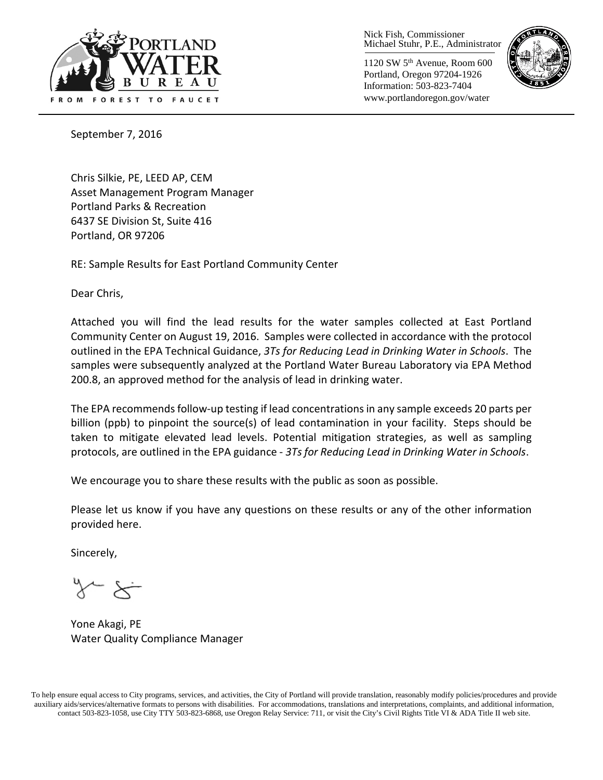

Nick Fish, Commissioner Michael Stuhr, P.E., Administrator

1120 SW 5th Avenue, Room 600 Portland, Oregon 97204-1926 Information: 503-823-7404 www.portlandoregon.gov/water



September 7, 2016

Chris Silkie, PE, LEED AP, CEM Asset Management Program Manager Portland Parks & Recreation 6437 SE Division St, Suite 416 Portland, OR 97206

RE: Sample Results for East Portland Community Center

Dear Chris,

Attached you will find the lead results for the water samples collected at East Portland Community Center on August 19, 2016. Samples were collected in accordance with the protocol outlined in the EPA Technical Guidance, *3Ts for Reducing Lead in Drinking Water in Schools*. The samples were subsequently analyzed at the Portland Water Bureau Laboratory via EPA Method 200.8, an approved method for the analysis of lead in drinking water.

The EPA recommends follow-up testing if lead concentrations in any sample exceeds 20 parts per billion (ppb) to pinpoint the source(s) of lead contamination in your facility. Steps should be taken to mitigate elevated lead levels. Potential mitigation strategies, as well as sampling protocols, are outlined in the EPA guidance - *3Ts for Reducing Lead in Drinking Water in Schools*.

We encourage you to share these results with the public as soon as possible.

Please let us know if you have any questions on these results or any of the other information provided here.

Sincerely,

Yone Akagi, PE Water Quality Compliance Manager

To help ensure equal access to City programs, services, and activities, the City of Portland will provide translation, reasonably modify policies/procedures and provide auxiliary aids/services/alternative formats to persons with disabilities. For accommodations, translations and interpretations, complaints, and additional information, contact 503-823-1058, use City TTY 503-823-6868, use Oregon Relay Service: 711, or visi[t the City's Civil Rights Title VI & ADA Title II web site.](http://www.portlandoregon.gov/oehr/66458)